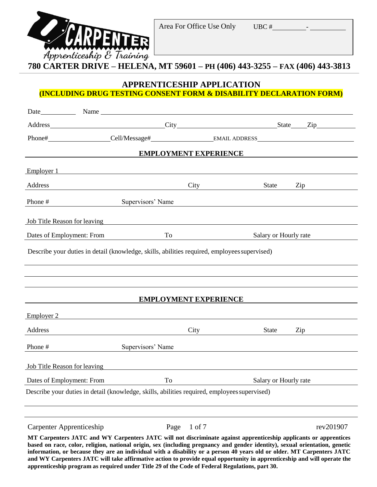

### **780 CARTER DRIVE – HELENA, MT 59601 – PH (406) 443-3255 – FAX (406) 443-3813**

#### **APPRENTICESHIP APPLICATION (INCLUDING DRUG TESTING CONSENT FORM & DISABILITY DECLARATION FORM)**

| Address City City State Zip                                                                                                                                                                                                         |                                                                 |                                                                                                                                                                                                                                      |                                                                                                                      |           |
|-------------------------------------------------------------------------------------------------------------------------------------------------------------------------------------------------------------------------------------|-----------------------------------------------------------------|--------------------------------------------------------------------------------------------------------------------------------------------------------------------------------------------------------------------------------------|----------------------------------------------------------------------------------------------------------------------|-----------|
|                                                                                                                                                                                                                                     |                                                                 |                                                                                                                                                                                                                                      |                                                                                                                      |           |
|                                                                                                                                                                                                                                     |                                                                 | <b>EMPLOYMENT EXPERIENCE</b>                                                                                                                                                                                                         |                                                                                                                      |           |
| Employer 1                                                                                                                                                                                                                          |                                                                 |                                                                                                                                                                                                                                      |                                                                                                                      |           |
| Address                                                                                                                                                                                                                             | <u> 1989 - Johann Barn, fransk politik amerikansk politik (</u> | City <u>the contract of the contract of the contract of the contract of the contract of the contract of the contract of the contract of the contract of the contract of the contract of the contract of the contract of the cont</u> | State                                                                                                                | Zip       |
| Phone #                                                                                                                                                                                                                             | Supervisors' Name                                               |                                                                                                                                                                                                                                      | <u> 1980 - Jan Samuel Barbara, margaret e populari e populari e populari e populari e populari e populari e popu</u> |           |
| <b>Iob Title Reason for leaving</b> the same of the same of the same of the same of the same of the same of the same of the same of the same of the same of the same of the same of the same of the same of the same of the same of |                                                                 |                                                                                                                                                                                                                                      |                                                                                                                      |           |
| Dates of Employment: From                                                                                                                                                                                                           | To                                                              | <u> 1980 - Johann Barn, mars eta bainar eta idazlea (</u>                                                                                                                                                                            | Salary or Hourly rate                                                                                                |           |
| Describe your duties in detail (knowledge, skills, abilities required, employees supervised)                                                                                                                                        |                                                                 |                                                                                                                                                                                                                                      |                                                                                                                      |           |
|                                                                                                                                                                                                                                     |                                                                 |                                                                                                                                                                                                                                      |                                                                                                                      |           |
|                                                                                                                                                                                                                                     |                                                                 |                                                                                                                                                                                                                                      |                                                                                                                      |           |
|                                                                                                                                                                                                                                     |                                                                 |                                                                                                                                                                                                                                      |                                                                                                                      |           |
|                                                                                                                                                                                                                                     |                                                                 | <b>EMPLOYMENT EXPERIENCE</b>                                                                                                                                                                                                         |                                                                                                                      |           |
| Employer 2                                                                                                                                                                                                                          |                                                                 |                                                                                                                                                                                                                                      |                                                                                                                      |           |
| Address                                                                                                                                                                                                                             | <u> 1989 - Johann Stoff, Amerikaansk politiker († 1908)</u>     |                                                                                                                                                                                                                                      | State                                                                                                                | Zip       |
| Phone #                                                                                                                                                                                                                             | Supervisors' Name                                               |                                                                                                                                                                                                                                      |                                                                                                                      |           |
| <b>Iob</b> Title Reason for leaving                                                                                                                                                                                                 |                                                                 |                                                                                                                                                                                                                                      |                                                                                                                      |           |
| Dates of Employment: From                                                                                                                                                                                                           | To                                                              |                                                                                                                                                                                                                                      | Salary or Hourly rate                                                                                                |           |
| Describe your duties in detail (knowledge, skills, abilities required, employees supervised)                                                                                                                                        |                                                                 |                                                                                                                                                                                                                                      |                                                                                                                      |           |
|                                                                                                                                                                                                                                     |                                                                 |                                                                                                                                                                                                                                      |                                                                                                                      |           |
|                                                                                                                                                                                                                                     |                                                                 |                                                                                                                                                                                                                                      |                                                                                                                      |           |
| Carpenter Apprenticeship                                                                                                                                                                                                            | Page                                                            | $1$ of $7$                                                                                                                                                                                                                           |                                                                                                                      | rev201907 |

**apprenticeship program as required under Title 29 of the Code of Federal Regulations, part 30.**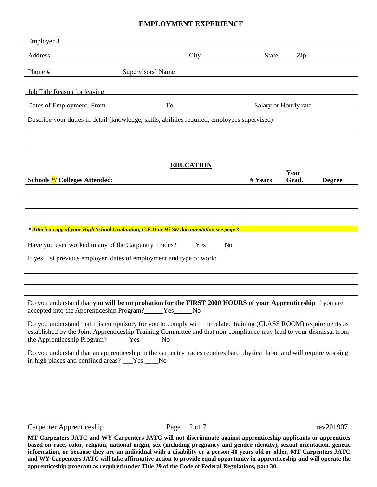#### **EMPLOYMENT EXPERIENCE**

| Employer 3                                                                                   |                   |      |                       |     |
|----------------------------------------------------------------------------------------------|-------------------|------|-----------------------|-----|
|                                                                                              |                   |      |                       |     |
| Address                                                                                      |                   | City | <b>State</b>          | Zip |
| Phone #                                                                                      | Supervisors' Name |      |                       |     |
|                                                                                              |                   |      |                       |     |
| Job Title Reason for leaving                                                                 |                   |      |                       |     |
| Dates of Employment: From                                                                    | To                |      | Salary or Hourly rate |     |
| Describe your duties in detail (knowledge, skills, abilities required, employees supervised) |                   |      |                       |     |

#### **EDUCATION**

| Schools <sup>*</sup> / Colleges Attended:                                                | # Years | Year<br>Grad. | <b>Degree</b> |
|------------------------------------------------------------------------------------------|---------|---------------|---------------|
|                                                                                          |         |               |               |
|                                                                                          |         |               |               |
|                                                                                          |         |               |               |
| * Attach a copy of your High School Graduation, G.E.D.or Hi-Set documentation see page 3 |         |               |               |

| Have you ever worked in any of the Carpentry Trades? | N <sub>0</sub><br>Yes. |
|------------------------------------------------------|------------------------|
|                                                      |                        |

If yes, list previous employer, dates of employment and type of work:

Do you understand that **you will be on probation for the FIRST 2000 HOURS of your Apprenticeship** if you are accepted into the Apprenticeship Program? Yes No

Do you understand that it is compulsory for you to comply with the related training (CLASS ROOM) requirements as established by the Joint Apprenticeship Training Committee and that non-compliance may lead to your dismissal from the Apprenticeship Program? Yes No

Do you understand that an apprenticeship in the carpentry trades requires hard physical labor and will require working in high places and confined areas? \_\_\_Yes \_\_\_\_No

Carpenter Apprenticeship Page 2 of 7 rev201907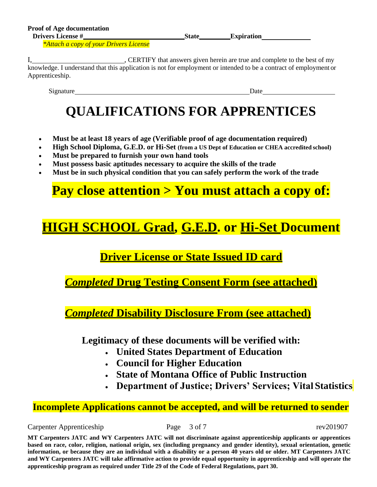*\*Attach a copy of your Drivers License*

I, CERTIFY that answers given herein are true and complete to the best of my knowledge. I understand that this application is not for employment or intended to be a contract of employment or Apprenticeship.

Signature Date

# **QUALIFICATIONS FOR APPRENTICES**

- **Must be at least 18 years of age (Verifiable proof of age documentation required)**
- **High School Diploma, G.E.D. or Hi-Set (from a US Dept of Education or CHEA accredited school)**
- **Must be prepared to furnish your own hand tools**
- **Must possess basic aptitudes necessary to acquire the skills of the trade**
- **Must be in such physical condition that you can safely perform the work of the trade**

# **Pay close attention > You must attach a copy of:**

## **HIGH SCHOOL Grad, G.E.D. or Hi-Set Document**

## **Driver License or State Issued ID card**

*Completed* **Drug Testing Consent Form (see attached)**

*Completed* **Disability Disclosure From (see attached)**

**Legitimacy of these documents will be verified with:**

- **United States Department of Education**
- **Council for Higher Education**
- **State of Montana Office of Public Instruction**
- **Department of Justice; Drivers' Services; Vital Statistics**

## **Incomplete Applications cannot be accepted, and will be returned to sender**

Carpenter Apprenticeship Page 3 of 7 rev201907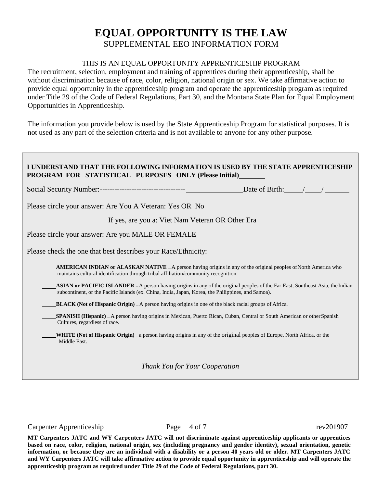## **EQUAL OPPORTUNITY IS THE LAW** SUPPLEMENTAL EEO INFORMATION FORM

#### THIS IS AN EQUAL OPPORTUNITY APPRENTICESHIP PROGRAM

The recruitment, selection, employment and training of apprentices during their apprenticeship, shall be without discrimination because of race, color, religion, national origin or sex. We take affirmative action to provide equal opportunity in the apprenticeship program and operate the apprenticeship program as required under Title 29 of the Code of Federal Regulations, Part 30, and the Montana State Plan for Equal Employment Opportunities in Apprenticeship.

The information you provide below is used by the State Apprenticeship Program for statistical purposes. It is not used as any part of the selection criteria and is not available to anyone for any other purpose.

| I UNDERSTAND THAT THE FOLLOWING INFORMATION IS USED BY THE STATE APPREN<br><b>PROGRAM FOR STATISTICAL PURPOSES ONLY (Please Initial)</b>                                                                                                    |  |  |
|---------------------------------------------------------------------------------------------------------------------------------------------------------------------------------------------------------------------------------------------|--|--|
|                                                                                                                                                                                                                                             |  |  |
|                                                                                                                                                                                                                                             |  |  |
| If yes, are you a: Viet Nam Veteran OR Other Era                                                                                                                                                                                            |  |  |
|                                                                                                                                                                                                                                             |  |  |
|                                                                                                                                                                                                                                             |  |  |
| <b>AMERICAN INDIAN or ALASKAN NATIVE</b> - A person having origins in any of the original peoples of North America who                                                                                                                      |  |  |
| <b>ASIAN or PACIFIC ISLANDER</b> – A person having origins in any of the original peoples of the Far East, Southeast Asia, the Indian<br>subcontinent, or the Pacific Islands (ex. China, India, Japan, Korea, the Philippines, and Samoa). |  |  |
| <b>BLACK</b> (Not of Hispanic Origin) $-A$ person having origins in one of the black racial groups of Africa.                                                                                                                               |  |  |
| <b>SPANISH (Hispanic)</b> - A person having origins in Mexican, Puerto Rican, Cuban, Central or South American or other Spanish<br>Cultures, regardless of race.                                                                            |  |  |
| <b>WHITE</b> (Not of Hispanic Origin) – a person having origins in any of the original peoples of Europe, North Africa, or the                                                                                                              |  |  |
|                                                                                                                                                                                                                                             |  |  |

*Thank You for Your Cooperation*

Carpenter Apprenticeship Page 4 of 7 rev201907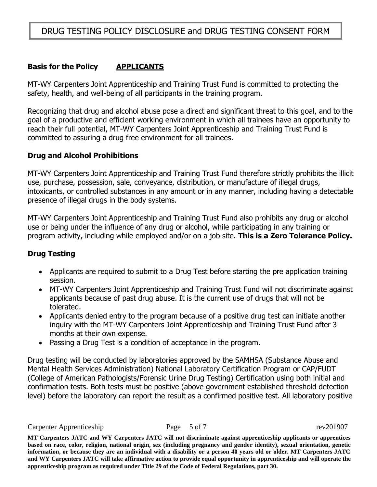## DRUG TESTING POLICY DISCLOSURE and DRUG TESTING CONSENT FORM

#### **Basis for the Policy APPLICANTS**

MT-WY Carpenters Joint Apprenticeship and Training Trust Fund is committed to protecting the safety, health, and well-being of all participants in the training program.

Recognizing that drug and alcohol abuse pose a direct and significant threat to this goal, and to the goal of a productive and efficient working environment in which all trainees have an opportunity to reach their full potential, MT-WY Carpenters Joint Apprenticeship and Training Trust Fund is committed to assuring a drug free environment for all trainees.

#### **Drug and Alcohol Prohibitions**

MT-WY Carpenters Joint Apprenticeship and Training Trust Fund therefore strictly prohibits the illicit use, purchase, possession, sale, conveyance, distribution, or manufacture of illegal drugs, intoxicants, or controlled substances in any amount or in any manner, including having a detectable presence of illegal drugs in the body systems.

MT-WY Carpenters Joint Apprenticeship and Training Trust Fund also prohibits any drug or alcohol use or being under the influence of any drug or alcohol, while participating in any training or program activity, including while employed and/or on a job site. **This is a Zero Tolerance Policy.**

#### **Drug Testing**

- Applicants are required to submit to a Drug Test before starting the pre application training session.
- MT-WY Carpenters Joint Apprenticeship and Training Trust Fund will not discriminate against applicants because of past drug abuse. It is the current use of drugs that will not be tolerated.
- Applicants denied entry to the program because of a positive drug test can initiate another inquiry with the MT-WY Carpenters Joint Apprenticeship and Training Trust Fund after 3 months at their own expense.
- Passing a Drug Test is a condition of acceptance in the program.

Drug testing will be conducted by laboratories approved by the SAMHSA (Substance Abuse and Mental Health Services Administration) National Laboratory Certification Program or CAP/FUDT (College of American Pathologists/Forensic Urine Drug Testing) Certification using both initial and confirmation tests. Both tests must be positive (above government established threshold detection level) before the laboratory can report the result as a confirmed positive test. All laboratory positive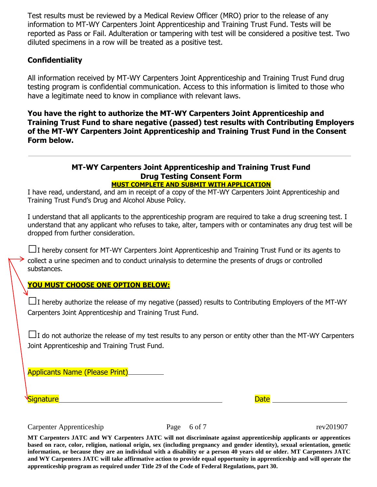Test results must be reviewed by a Medical Review Officer (MRO) prior to the release of any information to MT-WY Carpenters Joint Apprenticeship and Training Trust Fund. Tests will be reported as Pass or Fail. Adulteration or tampering with test will be considered a positive test. Two diluted specimens in a row will be treated as a positive test.

#### **Confidentiality**

All information received by MT-WY Carpenters Joint Apprenticeship and Training Trust Fund drug testing program is confidential communication. Access to this information is limited to those who have a legitimate need to know in compliance with relevant laws.

**You have the right to authorize the MT-WY Carpenters Joint Apprenticeship and Training Trust Fund to share negative (passed) test results with Contributing Employers of the MT-WY Carpenters Joint Apprenticeship and Training Trust Fund in the Consent Form below.**

#### **MT-WY Carpenters Joint Apprenticeship and Training Trust Fund Drug Testing Consent Form MUST COMPLETE AND SUBMIT WITH APPLICATION**

I have read, understand, and am in receipt of a copy of the MT-WY Carpenters Joint Apprenticeship and Training Trust Fund's Drug and Alcohol Abuse Policy.

I understand that all applicants to the apprenticeship program are required to take a drug screening test. I understand that any applicant who refuses to take, alter, tampers with or contaminates any drug test will be dropped from further consideration.

**□**<sup>I</sup> hereby consent for MT-WY Carpenters Joint Apprenticeship and Training Trust Fund or its agents to collect a urine specimen and to conduct urinalysis to determine the presents of drugs or controlled substances.

**YOU MUST CHOOSE ONE OPTION BELOW:**

**□**<sup>I</sup> hereby authorize the release of my negative (passed) results to Contributing Employers of the MT-WY Carpenters Joint Apprenticeship and Training Trust Fund.

**□**<sup>I</sup> do not authorize the release of my test results to any person or entity other than the MT-WY Carpenters Joint Apprenticeship and Training Trust Fund.

Applicants Name (Please Print)

Signature Date of the Date of the Date of the Date of the Date of the Date of the Date of the Date of the Date

Carpenter Apprenticeship Page 6 of 7 rev201907